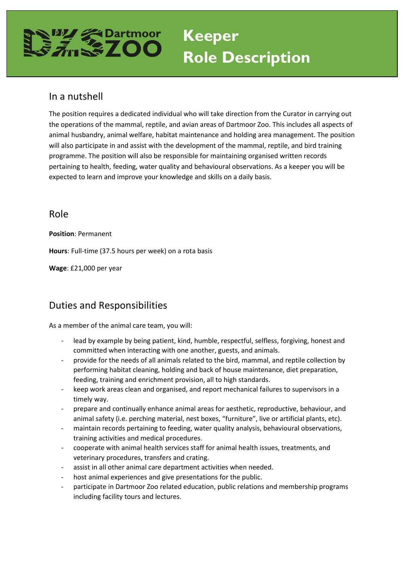## **Keeper**

# **Role Description**

## In a nutshell

The position requires a dedicated individual who will take direction from the Curator in carrying out the operations of the mammal, reptile, and avian areas of Dartmoor Zoo. This includes all aspects of animal husbandry, animal welfare, habitat maintenance and holding area management. The position will also participate in and assist with the development of the mammal, reptile, and bird training programme. The position will also be responsible for maintaining organised written records pertaining to health, feeding, water quality and behavioural observations. As a keeper you will be expected to learn and improve your knowledge and skills on a daily basis.

#### Role

**Position**: Permanent

**Hours**: Full-time (37.5 hours per week) on a rota basis

**Wage**: £21,000 per year

## Duties and Responsibilities

As a member of the animal care team, you will:

- lead by example by being patient, kind, humble, respectful, selfless, forgiving, honest and committed when interacting with one another, guests, and animals.
- provide for the needs of all animals related to the bird, mammal, and reptile collection by performing habitat cleaning, holding and back of house maintenance, diet preparation, feeding, training and enrichment provision, all to high standards.
- keep work areas clean and organised, and report mechanical failures to supervisors in a timely way.
- prepare and continually enhance animal areas for aesthetic, reproductive, behaviour, and animal safety (i.e. perching material, nest boxes, "furniture", live or artificial plants, etc).
- maintain records pertaining to feeding, water quality analysis, behavioural observations, training activities and medical procedures.
- cooperate with animal health services staff for animal health issues, treatments, and veterinary procedures, transfers and crating.
- assist in all other animal care department activities when needed.
- host animal experiences and give presentations for the public.
- participate in Dartmoor Zoo related education, public relations and membership programs including facility tours and lectures.